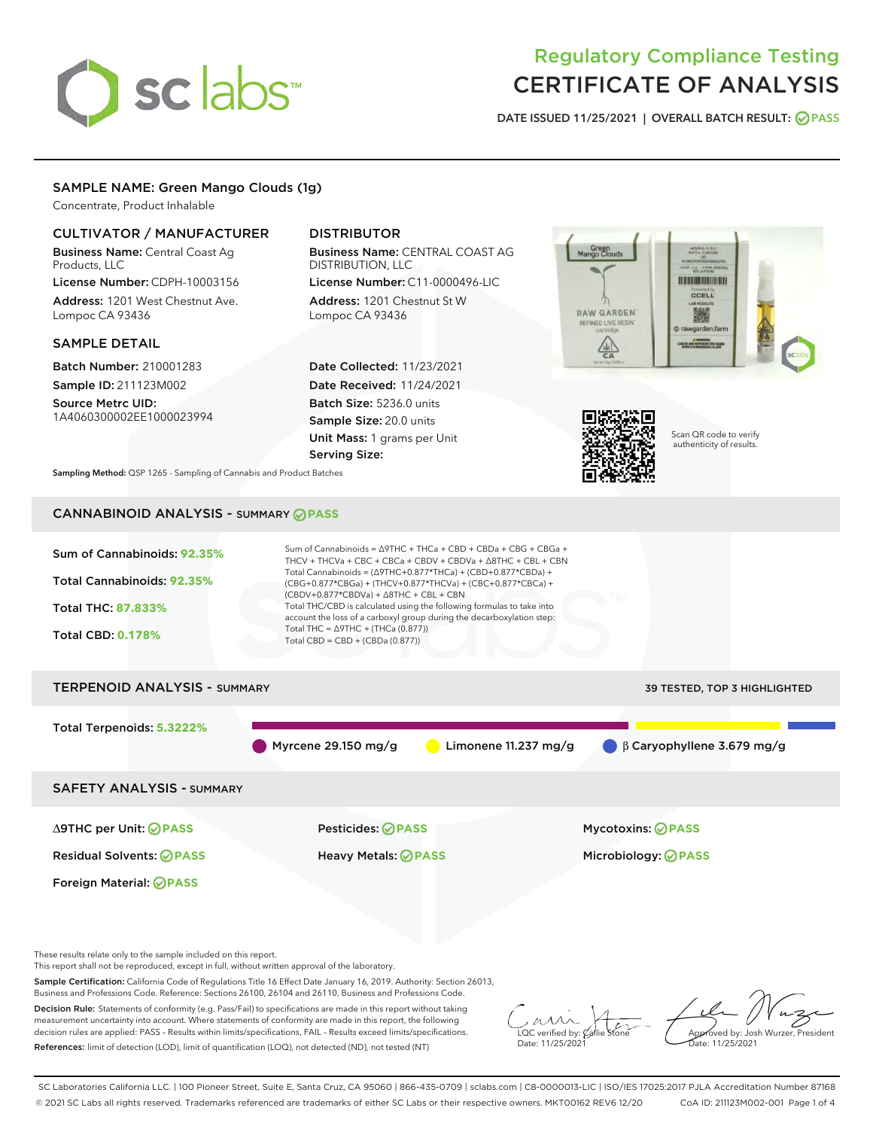# sclabs<sup>\*</sup>

# Regulatory Compliance Testing CERTIFICATE OF ANALYSIS

DATE ISSUED 11/25/2021 | OVERALL BATCH RESULT: @ PASS

## SAMPLE NAME: Green Mango Clouds (1g)

Concentrate, Product Inhalable

# CULTIVATOR / MANUFACTURER

Business Name: Central Coast Ag Products, LLC

License Number: CDPH-10003156 Address: 1201 West Chestnut Ave. Lompoc CA 93436

#### SAMPLE DETAIL

Batch Number: 210001283 Sample ID: 211123M002

Source Metrc UID: 1A4060300002EE1000023994

# DISTRIBUTOR

Business Name: CENTRAL COAST AG DISTRIBUTION, LLC

License Number: C11-0000496-LIC Address: 1201 Chestnut St W Lompoc CA 93436

Date Collected: 11/23/2021 Date Received: 11/24/2021 Batch Size: 5236.0 units Sample Size: 20.0 units Unit Mass: 1 grams per Unit Serving Size:





Scan QR code to verify authenticity of results.

Sampling Method: QSP 1265 - Sampling of Cannabis and Product Batches

# CANNABINOID ANALYSIS - SUMMARY **PASS**



Business and Professions Code. Reference: Sections 26100, 26104 and 26110, Business and Professions Code.

Decision Rule: Statements of conformity (e.g. Pass/Fail) to specifications are made in this report without taking measurement uncertainty into account. Where statements of conformity are made in this report, the following decision rules are applied: PASS – Results within limits/specifications, FAIL – Results exceed limits/specifications. References: limit of detection (LOD), limit of quantification (LOQ), not detected (ND), not tested (NT)

 $\overline{\text{LOC}}$  verified by:  $\mathcal{C}_i$ Date: 11/25/2021

Approved by: Josh Wurzer, President ate: 11/25/2021

SC Laboratories California LLC. | 100 Pioneer Street, Suite E, Santa Cruz, CA 95060 | 866-435-0709 | sclabs.com | C8-0000013-LIC | ISO/IES 17025:2017 PJLA Accreditation Number 87168 © 2021 SC Labs all rights reserved. Trademarks referenced are trademarks of either SC Labs or their respective owners. MKT00162 REV6 12/20 CoA ID: 211123M002-001 Page 1 of 4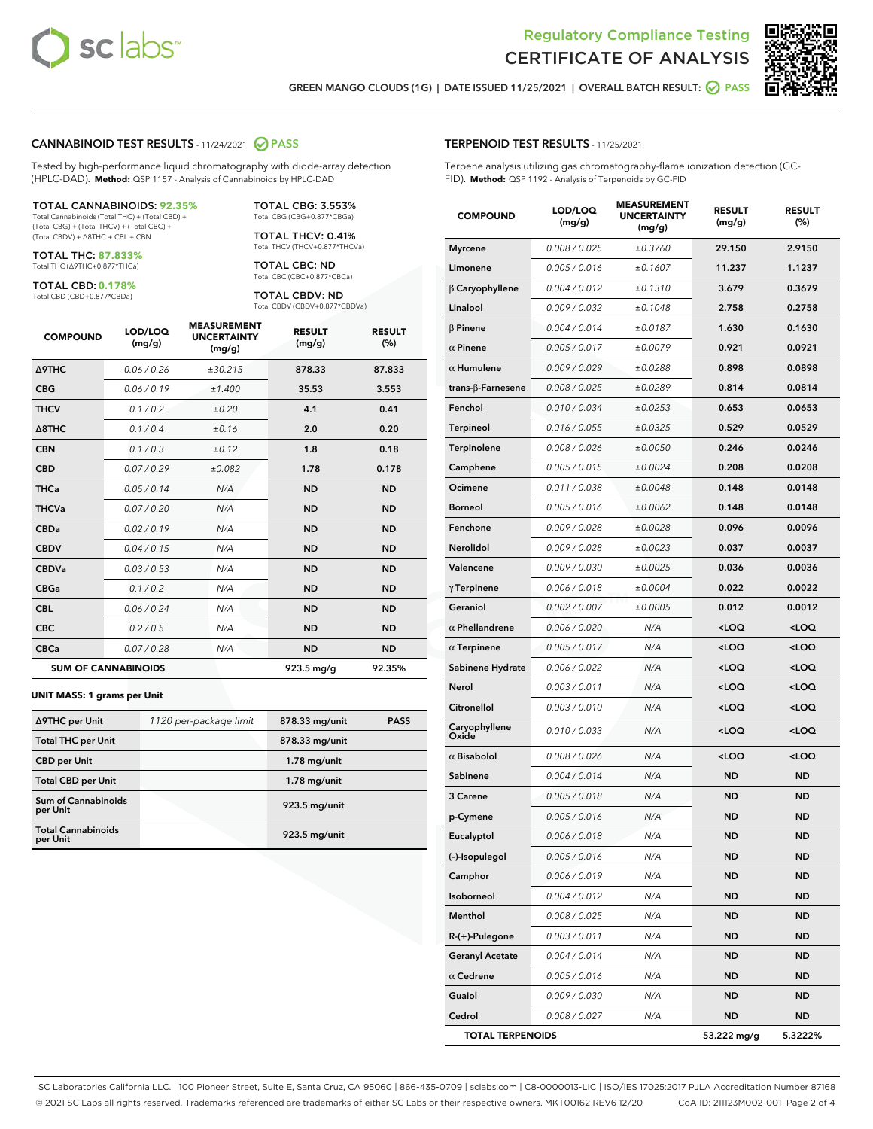



GREEN MANGO CLOUDS (1G) | DATE ISSUED 11/25/2021 | OVERALL BATCH RESULT: @ PASS

#### CANNABINOID TEST RESULTS - 11/24/2021 2 PASS

Tested by high-performance liquid chromatography with diode-array detection (HPLC-DAD). **Method:** QSP 1157 - Analysis of Cannabinoids by HPLC-DAD

#### TOTAL CANNABINOIDS: **92.35%**

Total Cannabinoids (Total THC) + (Total CBD) + (Total CBG) + (Total THCV) + (Total CBC) + (Total CBDV) + ∆8THC + CBL + CBN

TOTAL THC: **87.833%** Total THC (∆9THC+0.877\*THCa)

TOTAL CBD: **0.178%**

Total CBD (CBD+0.877\*CBDa)

TOTAL CBG: 3.553% Total CBG (CBG+0.877\*CBGa)

TOTAL THCV: 0.41% Total THCV (THCV+0.877\*THCVa)

TOTAL CBC: ND Total CBC (CBC+0.877\*CBCa)

TOTAL CBDV: ND Total CBDV (CBDV+0.877\*CBDVa)

| <b>COMPOUND</b>  | LOD/LOQ<br>(mg/g)          | <b>MEASUREMENT</b><br><b>UNCERTAINTY</b><br>(mg/g) | <b>RESULT</b><br>(mg/g) | <b>RESULT</b><br>(%) |
|------------------|----------------------------|----------------------------------------------------|-------------------------|----------------------|
| Δ9THC            | 0.06 / 0.26                | ±30.215                                            | 878.33                  | 87.833               |
| <b>CBG</b>       | 0.06/0.19                  | ±1.400                                             | 35.53                   | 3.553                |
| <b>THCV</b>      | 0.1 / 0.2                  | ±0.20                                              | 4.1                     | 0.41                 |
| $\triangle$ 8THC | 0.1/0.4                    | ±0.16                                              | 2.0                     | 0.20                 |
| <b>CBN</b>       | 0.1/0.3                    | ±0.12                                              | 1.8                     | 0.18                 |
| <b>CBD</b>       | 0.07/0.29                  | ±0.082                                             | 1.78                    | 0.178                |
| <b>THCa</b>      | 0.05/0.14                  | N/A                                                | <b>ND</b>               | <b>ND</b>            |
| <b>THCVa</b>     | 0.07/0.20                  | N/A                                                | <b>ND</b>               | <b>ND</b>            |
| <b>CBDa</b>      | 0.02/0.19                  | N/A                                                | <b>ND</b>               | <b>ND</b>            |
| <b>CBDV</b>      | 0.04 / 0.15                | N/A                                                | <b>ND</b>               | <b>ND</b>            |
| <b>CBDVa</b>     | 0.03/0.53                  | N/A                                                | <b>ND</b>               | <b>ND</b>            |
| <b>CBGa</b>      | 0.1/0.2                    | N/A                                                | <b>ND</b>               | <b>ND</b>            |
| <b>CBL</b>       | 0.06 / 0.24                | N/A                                                | <b>ND</b>               | <b>ND</b>            |
| <b>CBC</b>       | 0.2 / 0.5                  | N/A                                                | <b>ND</b>               | <b>ND</b>            |
| <b>CBCa</b>      | 0.07/0.28                  | N/A                                                | <b>ND</b>               | <b>ND</b>            |
|                  | <b>SUM OF CANNABINOIDS</b> |                                                    | 923.5 mg/g              | 92.35%               |

#### **UNIT MASS: 1 grams per Unit**

| ∆9THC per Unit                         | 1120 per-package limit | 878.33 mg/unit | <b>PASS</b> |
|----------------------------------------|------------------------|----------------|-------------|
| <b>Total THC per Unit</b>              |                        | 878.33 mg/unit |             |
| <b>CBD per Unit</b>                    |                        | $1.78$ mg/unit |             |
| <b>Total CBD per Unit</b>              |                        | $1.78$ mg/unit |             |
| <b>Sum of Cannabinoids</b><br>per Unit |                        | 923.5 mg/unit  |             |
| <b>Total Cannabinoids</b><br>per Unit  |                        | 923.5 mg/unit  |             |

| <b>COMPOUND</b>           | LOD/LOQ<br>(mg/g) | ASUREM<br><b>UNCERTAINTY</b><br>(mg/g) | <b>RESULT</b><br>(mg/g)                          | <b>RESULT</b><br>$(\%)$ |
|---------------------------|-------------------|----------------------------------------|--------------------------------------------------|-------------------------|
| <b>Myrcene</b>            | 0.008 / 0.025     | ±0.3760                                | 29.150                                           | 2.9150                  |
| Limonene                  | 0.005 / 0.016     | ±0.1607                                | 11.237                                           | 1.1237                  |
| $\beta$ Caryophyllene     | 0.004 / 0.012     | ±0.1310                                | 3.679                                            | 0.3679                  |
| Linalool                  | 0.009 / 0.032     | ±0.1048                                | 2.758                                            | 0.2758                  |
| $\beta$ Pinene            | 0.004 / 0.014     | ±0.0187                                | 1.630                                            | 0.1630                  |
| $\alpha$ Pinene           | 0.005 / 0.017     | ±0.0079                                | 0.921                                            | 0.0921                  |
| $\alpha$ Humulene         | 0.009/0.029       | ±0.0288                                | 0.898                                            | 0.0898                  |
| trans- $\beta$ -Farnesene | 0.008 / 0.025     | ±0.0289                                | 0.814                                            | 0.0814                  |
| Fenchol                   | 0.010 / 0.034     | ±0.0253                                | 0.653                                            | 0.0653                  |
| Terpineol                 | 0.016 / 0.055     | ±0.0325                                | 0.529                                            | 0.0529                  |
| Terpinolene               | 0.008 / 0.026     | ±0.0050                                | 0.246                                            | 0.0246                  |
| Camphene                  | 0.005 / 0.015     | ±0.0024                                | 0.208                                            | 0.0208                  |
| Ocimene                   | 0.011 / 0.038     | ±0.0048                                | 0.148                                            | 0.0148                  |
| <b>Borneol</b>            | 0.005 / 0.016     | ±0.0062                                | 0.148                                            | 0.0148                  |
| Fenchone                  | 0.009 / 0.028     | ±0.0028                                | 0.096                                            | 0.0096                  |
| Nerolidol                 | 0.009 / 0.028     | ±0.0023                                | 0.037                                            | 0.0037                  |
| Valencene                 | 0.009 / 0.030     | ±0.0025                                | 0.036                                            | 0.0036                  |
| $\gamma$ Terpinene        | 0.006 / 0.018     | ±0.0004                                | 0.022                                            | 0.0022                  |
| Geraniol                  | 0.002 / 0.007     | ±0.0005                                | 0.012                                            | 0.0012                  |
| $\alpha$ Phellandrene     | 0.006 / 0.020     | N/A                                    | <loq< th=""><th><math>&lt;</math>LOQ</th></loq<> | $<$ LOQ                 |
| $\alpha$ Terpinene        | 0.005 / 0.017     | N/A                                    | <loq< th=""><th><loq< th=""></loq<></th></loq<>  | <loq< th=""></loq<>     |
| Sabinene Hydrate          | 0.006 / 0.022     | N/A                                    | <loq< th=""><th><loq< th=""></loq<></th></loq<>  | <loq< th=""></loq<>     |
| Nerol                     | 0.003 / 0.011     | N/A                                    | <loq< th=""><th><math>&lt;</math>LOQ</th></loq<> | $<$ LOQ                 |
| Citronellol               | 0.003 / 0.010     | N/A                                    | <loq< th=""><th><loq< th=""></loq<></th></loq<>  | <loq< th=""></loq<>     |
| Caryophyllene<br>Oxide    | 0.010 / 0.033     | N/A                                    | <loq< th=""><th><loq< th=""></loq<></th></loq<>  | <loq< th=""></loq<>     |
| $\alpha$ Bisabolol        | 0.008 / 0.026     | N/A                                    | <loq< th=""><th><math>&lt;</math>LOQ</th></loq<> | $<$ LOQ                 |
| Sabinene                  | 0.004 / 0.014     | N/A                                    | <b>ND</b>                                        | <b>ND</b>               |
| 3 Carene                  | 0.005 / 0.018     | N/A                                    | <b>ND</b>                                        | ND                      |
| p-Cymene                  | 0.005 / 0.016     | N/A                                    | <b>ND</b>                                        | <b>ND</b>               |
| Eucalyptol                | 0.006 / 0.018     | N/A                                    | <b>ND</b>                                        | <b>ND</b>               |
| (-)-Isopulegol            | 0.005 / 0.016     | N/A                                    | ND                                               | ND                      |
| Camphor                   | 0.006 / 0.019     | N/A                                    | <b>ND</b>                                        | ND                      |
| Isoborneol                | 0.004 / 0.012     | N/A                                    | <b>ND</b>                                        | <b>ND</b>               |
| Menthol                   | 0.008 / 0.025     | N/A                                    | ND                                               | ND                      |
| $R-(+)$ -Pulegone         | 0.003 / 0.011     | N/A                                    | <b>ND</b>                                        | ND                      |
| <b>Geranyl Acetate</b>    | 0.004 / 0.014     | N/A                                    | ND                                               | <b>ND</b>               |
| $\alpha$ Cedrene          | 0.005 / 0.016     | N/A                                    | ND                                               | ND                      |
| Guaiol                    | 0.009 / 0.030     | N/A                                    | <b>ND</b>                                        | ND                      |
| Cedrol                    | 0.008 / 0.027     | N/A                                    | <b>ND</b>                                        | <b>ND</b>               |
| <b>TOTAL TERPENOIDS</b>   |                   |                                        | 53.222 mg/g                                      | 5.3222%                 |

SC Laboratories California LLC. | 100 Pioneer Street, Suite E, Santa Cruz, CA 95060 | 866-435-0709 | sclabs.com | C8-0000013-LIC | ISO/IES 17025:2017 PJLA Accreditation Number 87168 © 2021 SC Labs all rights reserved. Trademarks referenced are trademarks of either SC Labs or their respective owners. MKT00162 REV6 12/20 CoA ID: 211123M002-001 Page 2 of 4

# TERPENOID TEST RESULTS - 11/25/2021

Terpene analysis utilizing gas chromatography-flame ionization detection (GC-FID). **Method:** QSP 1192 - Analysis of Terpenoids by GC-FID

MEASUREMENT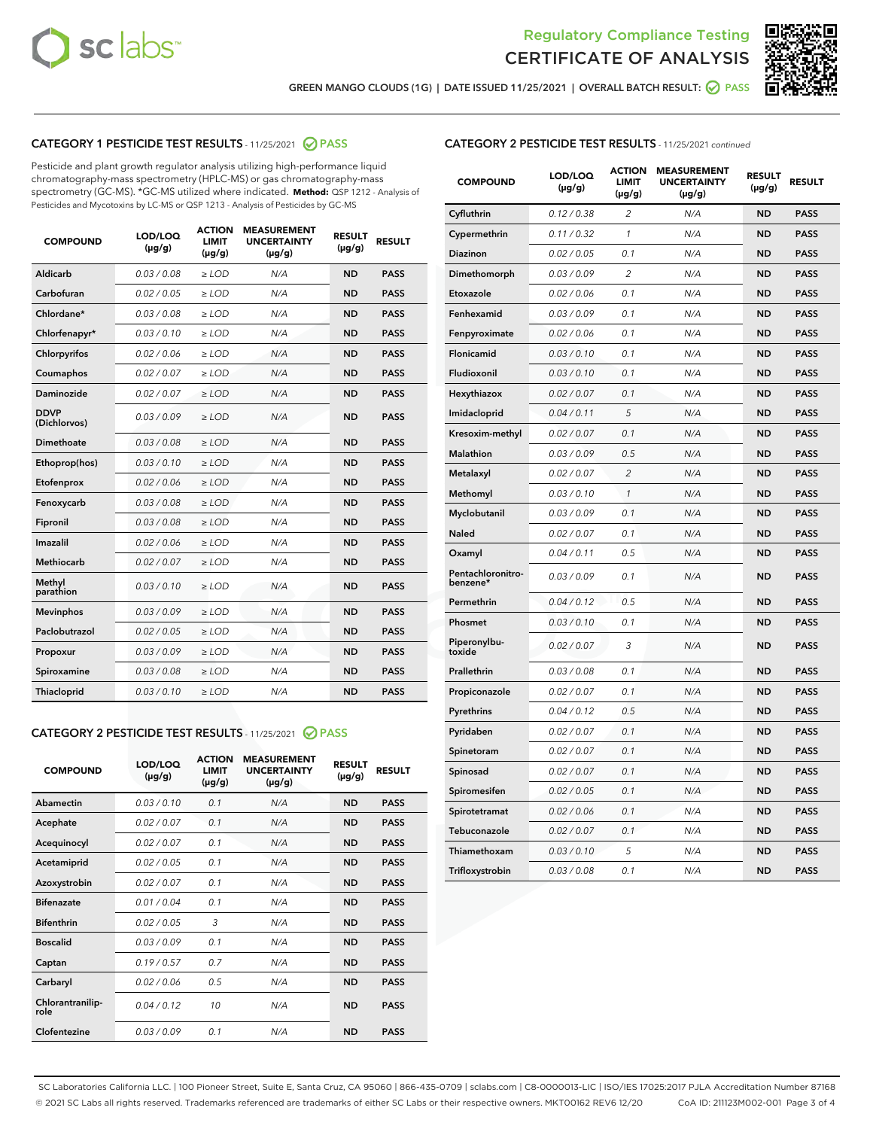



GREEN MANGO CLOUDS (1G) | DATE ISSUED 11/25/2021 | OVERALL BATCH RESULT: @ PASS

# CATEGORY 1 PESTICIDE TEST RESULTS - 11/25/2021 2 PASS

Pesticide and plant growth regulator analysis utilizing high-performance liquid chromatography-mass spectrometry (HPLC-MS) or gas chromatography-mass spectrometry (GC-MS). \*GC-MS utilized where indicated. **Method:** QSP 1212 - Analysis of Pesticides and Mycotoxins by LC-MS or QSP 1213 - Analysis of Pesticides by GC-MS

| <b>COMPOUND</b>             | LOD/LOQ<br>$(\mu g/g)$ | <b>ACTION</b><br><b>LIMIT</b><br>$(\mu g/g)$ | <b>MEASUREMENT</b><br><b>UNCERTAINTY</b><br>$(\mu g/g)$ | <b>RESULT</b><br>$(\mu g/g)$ | <b>RESULT</b> |
|-----------------------------|------------------------|----------------------------------------------|---------------------------------------------------------|------------------------------|---------------|
| Aldicarb                    | 0.03/0.08              | $\ge$ LOD                                    | N/A                                                     | <b>ND</b>                    | <b>PASS</b>   |
| Carbofuran                  | 0.02 / 0.05            | $\ge$ LOD                                    | N/A                                                     | <b>ND</b>                    | <b>PASS</b>   |
| Chlordane*                  | 0.03 / 0.08            | $\ge$ LOD                                    | N/A                                                     | <b>ND</b>                    | <b>PASS</b>   |
| Chlorfenapyr*               | 0.03/0.10              | $\ge$ LOD                                    | N/A                                                     | <b>ND</b>                    | <b>PASS</b>   |
| Chlorpyrifos                | 0.02 / 0.06            | $\ge$ LOD                                    | N/A                                                     | <b>ND</b>                    | <b>PASS</b>   |
| Coumaphos                   | 0.02 / 0.07            | $\ge$ LOD                                    | N/A                                                     | <b>ND</b>                    | <b>PASS</b>   |
| Daminozide                  | 0.02 / 0.07            | $\ge$ LOD                                    | N/A                                                     | <b>ND</b>                    | <b>PASS</b>   |
| <b>DDVP</b><br>(Dichlorvos) | 0.03/0.09              | $>$ LOD                                      | N/A                                                     | <b>ND</b>                    | <b>PASS</b>   |
| Dimethoate                  | 0.03 / 0.08            | $\ge$ LOD                                    | N/A                                                     | <b>ND</b>                    | <b>PASS</b>   |
| Ethoprop(hos)               | 0.03/0.10              | $\ge$ LOD                                    | N/A                                                     | <b>ND</b>                    | <b>PASS</b>   |
| Etofenprox                  | 0.02/0.06              | $>$ LOD                                      | N/A                                                     | <b>ND</b>                    | <b>PASS</b>   |
| Fenoxycarb                  | 0.03 / 0.08            | $\ge$ LOD                                    | N/A                                                     | <b>ND</b>                    | <b>PASS</b>   |
| Fipronil                    | 0.03/0.08              | $>$ LOD                                      | N/A                                                     | <b>ND</b>                    | <b>PASS</b>   |
| Imazalil                    | 0.02 / 0.06            | $\ge$ LOD                                    | N/A                                                     | <b>ND</b>                    | <b>PASS</b>   |
| Methiocarb                  | 0.02 / 0.07            | $\ge$ LOD                                    | N/A                                                     | <b>ND</b>                    | <b>PASS</b>   |
| Methyl<br>parathion         | 0.03/0.10              | $>$ LOD                                      | N/A                                                     | <b>ND</b>                    | <b>PASS</b>   |
| <b>Mevinphos</b>            | 0.03/0.09              | $>$ LOD                                      | N/A                                                     | <b>ND</b>                    | <b>PASS</b>   |
| Paclobutrazol               | 0.02 / 0.05            | $\ge$ LOD                                    | N/A                                                     | <b>ND</b>                    | <b>PASS</b>   |
| Propoxur                    | 0.03/0.09              | $\ge$ LOD                                    | N/A                                                     | <b>ND</b>                    | <b>PASS</b>   |
| Spiroxamine                 | 0.03 / 0.08            | $\ge$ LOD                                    | N/A                                                     | <b>ND</b>                    | <b>PASS</b>   |
| Thiacloprid                 | 0.03/0.10              | $\ge$ LOD                                    | N/A                                                     | <b>ND</b>                    | <b>PASS</b>   |

#### CATEGORY 2 PESTICIDE TEST RESULTS - 11/25/2021 @ PASS

| <b>COMPOUND</b>          | LOD/LOO<br>$(\mu g/g)$ | <b>ACTION</b><br>LIMIT<br>$(\mu g/g)$ | <b>MEASUREMENT</b><br><b>UNCERTAINTY</b><br>$(\mu g/g)$ | <b>RESULT</b><br>$(\mu g/g)$ | <b>RESULT</b> |  |
|--------------------------|------------------------|---------------------------------------|---------------------------------------------------------|------------------------------|---------------|--|
| Abamectin                | 0.03/0.10              | 0.1                                   | N/A                                                     | <b>ND</b>                    | <b>PASS</b>   |  |
| Acephate                 | 0.02/0.07              | 0.1                                   | N/A                                                     | <b>ND</b>                    | <b>PASS</b>   |  |
| Acequinocyl              | 0.02/0.07              | 0.1                                   | N/A                                                     | <b>ND</b>                    | <b>PASS</b>   |  |
| Acetamiprid              | 0.02/0.05              | 0.1                                   | N/A                                                     | <b>ND</b>                    | <b>PASS</b>   |  |
| Azoxystrobin             | 0.02/0.07              | 0.1                                   | N/A                                                     | <b>ND</b>                    | <b>PASS</b>   |  |
| <b>Bifenazate</b>        | 0.01 / 0.04            | 0.1                                   | N/A                                                     | <b>ND</b>                    | <b>PASS</b>   |  |
| <b>Bifenthrin</b>        | 0.02/0.05              | 3                                     | N/A                                                     | <b>ND</b>                    | <b>PASS</b>   |  |
| <b>Boscalid</b>          | 0.03/0.09              | 0.1                                   | N/A                                                     | <b>ND</b>                    | <b>PASS</b>   |  |
| Captan                   | 0.19/0.57              | 0.7                                   | N/A                                                     | <b>ND</b>                    | <b>PASS</b>   |  |
| Carbaryl                 | 0.02/0.06              | 0.5                                   | N/A                                                     | <b>ND</b>                    | <b>PASS</b>   |  |
| Chlorantranilip-<br>role | 0.04/0.12              | 10                                    | N/A                                                     | <b>ND</b>                    | <b>PASS</b>   |  |
| Clofentezine             | 0.03/0.09              | 0.1                                   | N/A                                                     | <b>ND</b>                    | <b>PASS</b>   |  |

# CATEGORY 2 PESTICIDE TEST RESULTS - 11/25/2021 continued

| <b>COMPOUND</b>               | LOD/LOQ<br>(µg/g) | <b>ACTION</b><br>LIMIT<br>$(\mu g/g)$ | <b>MEASUREMENT</b><br><b>UNCERTAINTY</b><br>(µg/g) | <b>RESULT</b><br>(µg/g) | <b>RESULT</b> |
|-------------------------------|-------------------|---------------------------------------|----------------------------------------------------|-------------------------|---------------|
| Cyfluthrin                    | 0.12 / 0.38       | 2                                     | N/A                                                | ND                      | <b>PASS</b>   |
| Cypermethrin                  | 0.11 / 0.32       | 1                                     | N/A                                                | ND                      | PASS          |
| Diazinon                      | 0.02 / 0.05       | 0.1                                   | N/A                                                | ND                      | PASS          |
| Dimethomorph                  | 0.03 / 0.09       | 2                                     | N/A                                                | <b>ND</b>               | <b>PASS</b>   |
| Etoxazole                     | 0.02 / 0.06       | 0.1                                   | N/A                                                | ND                      | <b>PASS</b>   |
| Fenhexamid                    | 0.03 / 0.09       | 0.1                                   | N/A                                                | ND                      | <b>PASS</b>   |
| Fenpyroximate                 | 0.02 / 0.06       | 0.1                                   | N/A                                                | <b>ND</b>               | <b>PASS</b>   |
| Flonicamid                    | 0.03 / 0.10       | 0.1                                   | N/A                                                | <b>ND</b>               | <b>PASS</b>   |
| Fludioxonil                   | 0.03 / 0.10       | 0.1                                   | N/A                                                | <b>ND</b>               | <b>PASS</b>   |
| Hexythiazox                   | 0.02 / 0.07       | 0.1                                   | N/A                                                | <b>ND</b>               | PASS          |
| Imidacloprid                  | 0.04 / 0.11       | 5                                     | N/A                                                | <b>ND</b>               | <b>PASS</b>   |
| Kresoxim-methyl               | 0.02 / 0.07       | 0.1                                   | N/A                                                | ND                      | <b>PASS</b>   |
| Malathion                     | 0.03 / 0.09       | 0.5                                   | N/A                                                | <b>ND</b>               | <b>PASS</b>   |
| Metalaxyl                     | 0.02 / 0.07       | $\overline{c}$                        | N/A                                                | <b>ND</b>               | <b>PASS</b>   |
| Methomyl                      | 0.03 / 0.10       | 1                                     | N/A                                                | ND                      | <b>PASS</b>   |
| Myclobutanil                  | 0.03/0.09         | 0.1                                   | N/A                                                | <b>ND</b>               | <b>PASS</b>   |
| Naled                         | 0.02 / 0.07       | 0.1                                   | N/A                                                | ND                      | <b>PASS</b>   |
| Oxamyl                        | 0.04 / 0.11       | 0.5                                   | N/A                                                | ND                      | <b>PASS</b>   |
| Pentachloronitro-<br>benzene* | 0.03 / 0.09       | 0.1                                   | N/A                                                | ND                      | <b>PASS</b>   |
| Permethrin                    | 0.04/0.12         | 0.5                                   | N/A                                                | <b>ND</b>               | <b>PASS</b>   |
| Phosmet                       | 0.03 / 0.10       | 0.1                                   | N/A                                                | ND                      | <b>PASS</b>   |
| Piperonylbu-<br>toxide        | 0.02 / 0.07       | 3                                     | N/A                                                | <b>ND</b>               | <b>PASS</b>   |
| Prallethrin                   | 0.03 / 0.08       | 0.1                                   | N/A                                                | <b>ND</b>               | <b>PASS</b>   |
| Propiconazole                 | 0.02 / 0.07       | 0.1                                   | N/A                                                | ND                      | <b>PASS</b>   |
| Pyrethrins                    | 0.04 / 0.12       | 0.5                                   | N/A                                                | ND                      | <b>PASS</b>   |
| Pyridaben                     | 0.02 / 0.07       | 0.1                                   | N/A                                                | <b>ND</b>               | <b>PASS</b>   |
| Spinetoram                    | 0.02 / 0.07       | 0.1                                   | N/A                                                | ND                      | <b>PASS</b>   |
| Spinosad                      | 0.02 / 0.07       | 0.1                                   | N/A                                                | ND                      | <b>PASS</b>   |
| Spiromesifen                  | 0.02 / 0.05       | 0.1                                   | N/A                                                | <b>ND</b>               | <b>PASS</b>   |
| Spirotetramat                 | 0.02 / 0.06       | 0.1                                   | N/A                                                | ND                      | <b>PASS</b>   |
| Tebuconazole                  | 0.02 / 0.07       | 0.1                                   | N/A                                                | ND                      | <b>PASS</b>   |
| Thiamethoxam                  | 0.03 / 0.10       | 5                                     | N/A                                                | <b>ND</b>               | <b>PASS</b>   |
| Trifloxystrobin               | 0.03 / 0.08       | 0.1                                   | N/A                                                | <b>ND</b>               | <b>PASS</b>   |

SC Laboratories California LLC. | 100 Pioneer Street, Suite E, Santa Cruz, CA 95060 | 866-435-0709 | sclabs.com | C8-0000013-LIC | ISO/IES 17025:2017 PJLA Accreditation Number 87168 © 2021 SC Labs all rights reserved. Trademarks referenced are trademarks of either SC Labs or their respective owners. MKT00162 REV6 12/20 CoA ID: 211123M002-001 Page 3 of 4